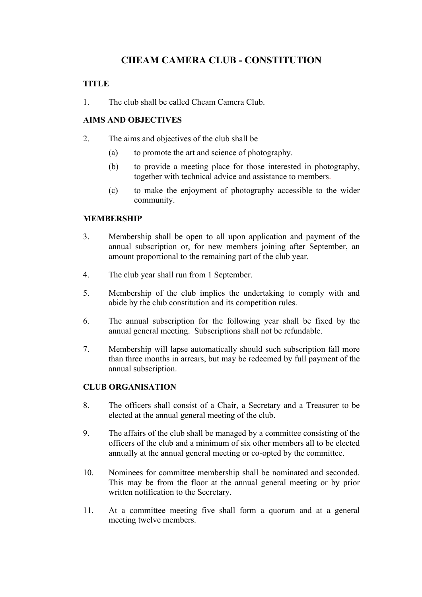# **CHEAM CAMERA CLUB - CONSTITUTION**

# **TITLE**

1. The club shall be called Cheam Camera Club.

# **AIMS AND OBJECTIVES**

- 2. The aims and objectives of the club shall be
	- (a) to promote the art and science of photography.
	- (b) to provide a meeting place for those interested in photography, together with technical advice and assistance to members.
	- (c) to make the enjoyment of photography accessible to the wider community.

### **MEMBERSHIP**

- 3. Membership shall be open to all upon application and payment of the annual subscription or, for new members joining after September, an amount proportional to the remaining part of the club year.
- 4. The club year shall run from 1 September.
- 5. Membership of the club implies the undertaking to comply with and abide by the club constitution and its competition rules.
- 6. The annual subscription for the following year shall be fixed by the annual general meeting. Subscriptions shall not be refundable.
- 7. Membership will lapse automatically should such subscription fall more than three months in arrears, but may be redeemed by full payment of the annual subscription.

### **CLUB ORGANISATION**

- 8. The officers shall consist of a Chair, a Secretary and a Treasurer to be elected at the annual general meeting of the club.
- 9. The affairs of the club shall be managed by a committee consisting of the officers of the club and a minimum of six other members all to be elected annually at the annual general meeting or co-opted by the committee.
- 10. Nominees for committee membership shall be nominated and seconded. This may be from the floor at the annual general meeting or by prior written notification to the Secretary.
- 11. At a committee meeting five shall form a quorum and at a general meeting twelve members.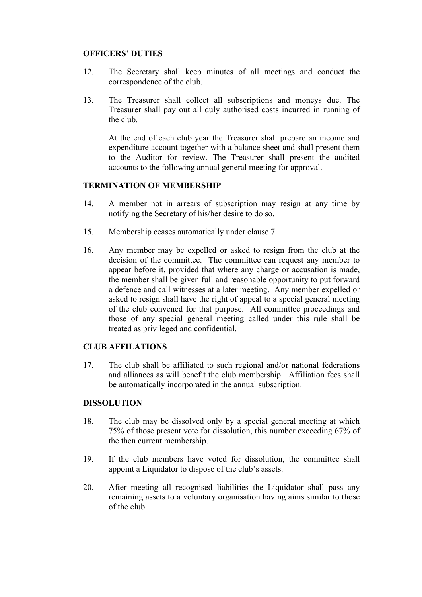#### **OFFICERS' DUTIES**

- 12. The Secretary shall keep minutes of all meetings and conduct the correspondence of the club.
- 13. The Treasurer shall collect all subscriptions and moneys due. The Treasurer shall pay out all duly authorised costs incurred in running of the club.

At the end of each club year the Treasurer shall prepare an income and expenditure account together with a balance sheet and shall present them to the Auditor for review. The Treasurer shall present the audited accounts to the following annual general meeting for approval.

#### **TERMINATION OF MEMBERSHIP**

- 14. A member not in arrears of subscription may resign at any time by notifying the Secretary of his/her desire to do so.
- 15. Membership ceases automatically under clause 7.
- 16. Any member may be expelled or asked to resign from the club at the decision of the committee. The committee can request any member to appear before it, provided that where any charge or accusation is made, the member shall be given full and reasonable opportunity to put forward a defence and call witnesses at a later meeting. Any member expelled or asked to resign shall have the right of appeal to a special general meeting of the club convened for that purpose. All committee proceedings and those of any special general meeting called under this rule shall be treated as privileged and confidential.

#### **CLUB AFFILATIONS**

17. The club shall be affiliated to such regional and/or national federations and alliances as will benefit the club membership. Affiliation fees shall be automatically incorporated in the annual subscription.

#### **DISSOLUTION**

- 18. The club may be dissolved only by a special general meeting at which 75% of those present vote for dissolution, this number exceeding 67% of the then current membership.
- 19. If the club members have voted for dissolution, the committee shall appoint a Liquidator to dispose of the club's assets.
- 20. After meeting all recognised liabilities the Liquidator shall pass any remaining assets to a voluntary organisation having aims similar to those of the club.